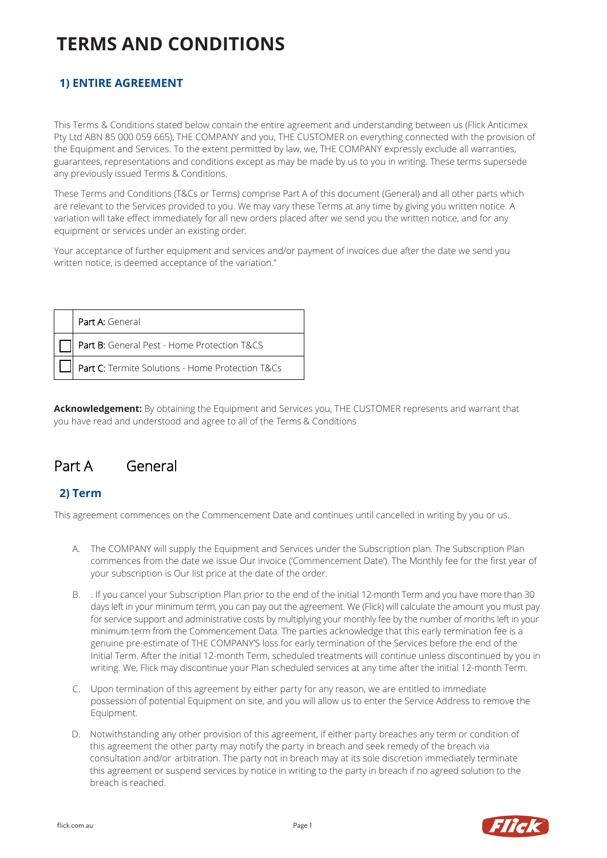# **1) ENTIRE AGREEMENT**

This Terms & Conditions stated below contain the entire agreement and understanding between us (Flick Anticimex Pty Ltd ABN 85 000 059 665), THE COMPANY and you, THE CUSTOMER on everything connected with the provision of the Equipment and Services. To the extent permitted by law, we, THE COMPANY expressly exclude all warranties, guarantees, representations and conditions except as may be made by us to you in writing. These terms supersede any previously issued Terms & Conditions.

These Terms and Conditions (T&Cs or Terms) comprise Part A of this document (General) and all other parts which are relevant to the Services provided to you. We may vary these Terms at any time by giving you written notice. A variation will take effect immediately for all new orders placed after we send you the written notice, and for any equipment or services under an existing order.

Your acceptance of further equipment and services and/or payment of invoices due after the date we send you written notice, is deemed acceptance of the variation."

| Part A: General                                  |
|--------------------------------------------------|
| Part B: General Pest - Home Protection T&CS      |
| Part C: Termite Solutions - Home Protection T&Cs |

**Acknowledgement:** By obtaining the Equipment and Services you, THE CUSTOMER represents and warrant that you have read and understood and agree to all of the Terms & Conditions

# Part A General

# **2) Term**

This agreement commences on the Commencement Date and continues until cancelled in writing by you or us.

- A. The COMPANY will supply the Equipment and Services under the Subscription plan. The Subscription Plan commences from the date we issue Our invoice ('Commencement Date'). The Monthly fee for the first year of your subscription is Our list price at the date of the order.
- B. . If you cancel your Subscription Plan prior to the end of the initial 12-month Term and you have more than 30 days left in your minimum term, you can pay out the agreement. We (Flick) will calculate the amount you must pay for service support and administrative costs by multiplying your monthly fee by the number of months left in your minimum term from the Commencement Data. The parties acknowledge that this early termination fee is a genuine pre-estimate of THE COMPANY'S loss for early termination of the Services before the end of the Initial Term. After the initial 12-month Term, scheduled treatments will continue unless discontinued by you in writing. We, Flick may discontinue your Plan scheduled services at any time after the initial 12-month Term.
- C. Upon termination of this agreement by either party for any reason, we are entitled to immediate possession of potential Equipment on site, and you will allow us to enter the Service Address to remove the Equipment.
- D. Notwithstanding any other provision of this agreement, if either party breaches any term or condition of this agreement the other party may notify the party in breach and seek remedy of the breach via consultation and/or arbitration. The party not in breach may at its sole discretion immediately terminate this agreement or suspend services by notice in writing to the party in breach if no agreed solution to the breach is reached.

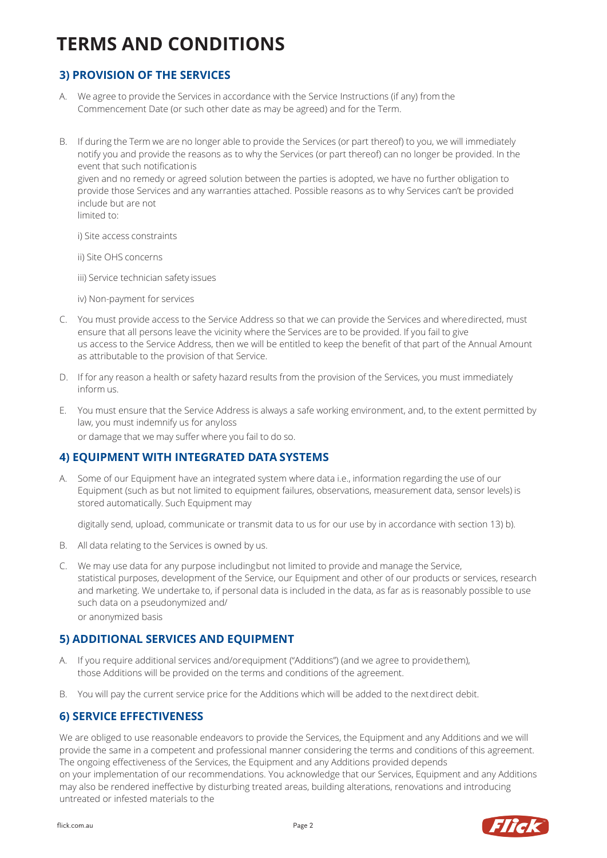# **3) PROVISION OF THE SERVICES**

- A. We agree to provide the Services in accordance with the Service Instructions (if any) from the Commencement Date (or such other date as may be agreed) and for the Term.
- B. If during the Term we are no longer able to provide the Services (or part thereof) to you, we will immediately notify you and provide the reasons as to why the Services (or part thereof) can no longer be provided. In the event that such notificationis given and no remedy or agreed solution between the parties is adopted, we have no further obligation to provide those Services and any warranties attached. Possible reasons as to why Services can't be provided include but are not limited to:

i) Site access constraints

ii) Site OHS concerns

iii) Service technician safety issues

iv) Non-payment for services

- C. You must provide access to the Service Address so that we can provide the Services and wheredirected, must ensure that all persons leave the vicinity where the Services are to be provided. If you fail to give us access to the Service Address, then we will be entitled to keep the benefit of that part of the Annual Amount as attributable to the provision of that Service.
- D. If for any reason a health or safety hazard results from the provision of the Services, you must immediately inform us.
- E. You must ensure that the Service Address is always a safe working environment, and, to the extent permitted by law, you must indemnify us for anyloss

or damage that we may suffer where you fail to do so.

#### **4) EQUIPMENT WITH INTEGRATED DATA SYSTEMS**

A. Some of our Equipment have an integrated system where data i.e., information regarding the use of our Equipment (such as but not limited to equipment failures, observations, measurement data, sensor levels) is stored automatically. Such Equipment may

digitally send, upload, communicate or transmit data to us for our use by in accordance with section 13) b).

- B. All data relating to the Services is owned by us.
- C. We may use data for any purpose includingbut not limited to provide and manage the Service, statistical purposes, development of the Service, our Equipment and other of our products or services, research and marketing. We undertake to, if personal data is included in the data, as far as is reasonably possible to use such data on a pseudonymized and/

or anonymized basis

# **5) ADDITIONAL SERVICES AND EQUIPMENT**

- A. If you require additional services and/orequipment ("Additions") (and we agree to providethem), those Additions will be provided on the terms and conditions of the agreement.
- B. You will pay the current service price for the Additions which will be added to the nextdirect debit.

#### **6) SERVICE EFFECTIVENESS**

We are obliged to use reasonable endeavors to provide the Services, the Equipment and any Additions and we will provide the same in a competent and professional manner considering the terms and conditions of this agreement. The ongoing effectiveness of the Services, the Equipment and any Additions provided depends on your implementation of our recommendations. You acknowledge that our Services, Equipment and any Additions may also be rendered ineffective by disturbing treated areas, building alterations, renovations and introducing untreated or infested materials to the

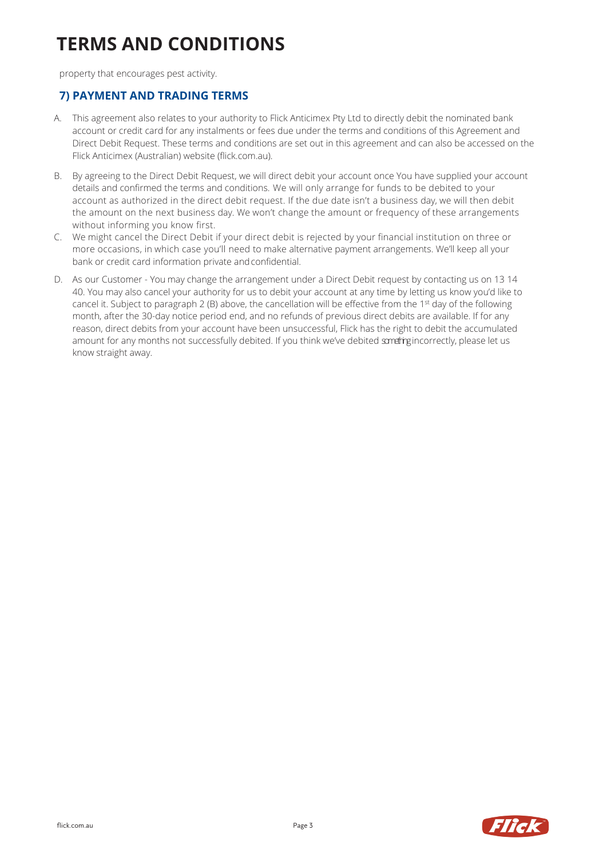property that encourages pest activity.

#### **7) PAYMENT AND TRADING TERMS**

- A. This agreement also relates to your authority to Flick Anticimex Pty Ltd to directly debit the nominated bank account or credit card for any instalments or fees due under the terms and conditions of this Agreement and Direct Debit Request. These terms and conditions are set out in this agreement and can also be accessed on the Flick Anticimex (Australian) website (flick.com.au).
- B. By agreeing to the Direct Debit Request, we will direct debit your account once You have supplied your account details and confirmed the terms and conditions. We will only arrange for funds to be debited to your account as authorized in the direct debit request. If the due date isn't a business day, we will then debit the amount on the next business day. We won't change the amount or frequency of these arrangements without informing you know first.
- C. We might cancel the Direct Debit if your direct debit is rejected by your financial institution on three or more occasions, in which case you'll need to make alternative payment arrangements. We'll keep all your bank or credit card information private andconfidential.
- D. As our Customer You may change the arrangement under a Direct Debit request by contacting us on 13 14 40. You may also cancel your authority for us to debit your account at any time by letting us know you'd like to cancel it. Subject to paragraph 2 (B) above, the cancellation will be effective from the 1st day of the following month, after the 30-day notice period end, and no refunds of previous direct debits are available. If for any reason, direct debits from your account have been unsuccessful, Flick has the right to debit the accumulated amount for any months not successfully debited. If you think we've debited sometrigincorrectly, please let us know straight away.

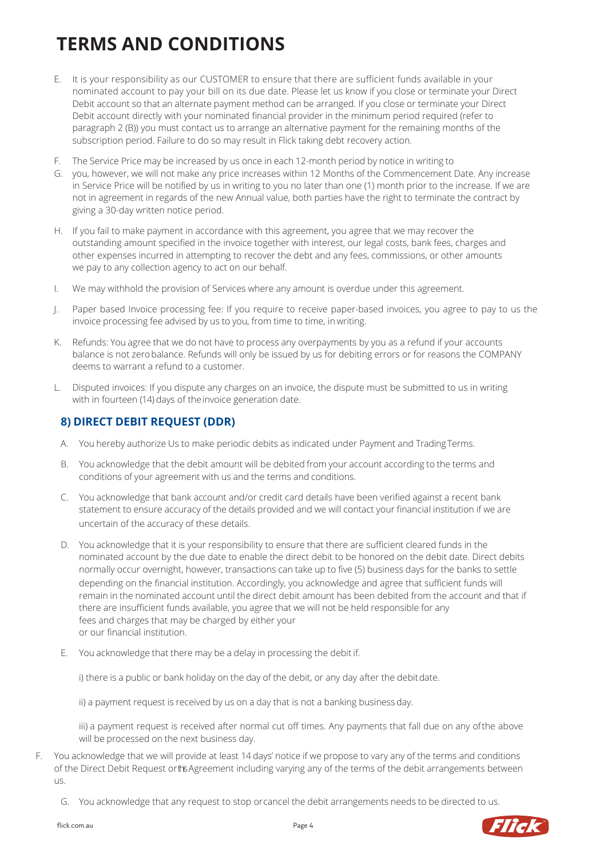- E. It is your responsibility as our CUSTOMER to ensure that there are sufficient funds available in your nominated account to pay your bill on its due date. Please let us know if you close or terminate your Direct Debit account so that an alternate payment method can be arranged. If you close or terminate your Direct Debit account directly with your nominated financial provider in the minimum period required (refer to paragraph 2 (B)) you must contact us to arrange an alternative payment for the remaining months of the subscription period. Failure to do so may result in Flick taking debt recovery action.
- F. The Service Price may be increased by us once in each 12-month period by notice in writing to
- G. you, however, we will not make any price increases within 12 Months of the Commencement Date. Any increase in Service Price will be notified by us in writing to you no later than one (1) month prior to the increase. If we are not in agreement in regards of the new Annual value, both parties have the right to terminate the contract by giving a 30-day written notice period.
- H. If you fail to make payment in accordance with this agreement, you agree that we may recover the outstanding amount specified in the invoice together with interest, our legal costs, bank fees, charges and other expenses incurred in attempting to recover the debt and any fees, commissions, or other amounts we pay to any collection agency to act on our behalf.
- I. We may withhold the provision of Services where any amount is overdue under this agreement.
- J. Paper based Invoice processing fee: If you require to receive paper-based invoices, you agree to pay to us the invoice processing fee advised by us to you, from time to time, in writing.
- K. Refunds: You agree that we do not have to process any overpayments by you as a refund if your accounts balance is not zerobalance. Refunds will only be issued by us for debiting errors or for reasons the COMPANY deems to warrant a refund to a customer.
- L. Disputed invoices: If you dispute any charges on an invoice, the dispute must be submitted to us in writing with in fourteen (14) days of theinvoice generation date.

### **8) DIRECT DEBIT REQUEST (DDR)**

- A. You hereby authorize Us to make periodic debits as indicated under Payment and TradingTerms.
- B. You acknowledge that the debit amount will be debited from your account according to the terms and conditions of your agreement with us and the terms and conditions.
- C. You acknowledge that bank account and/or credit card details have been verified against a recent bank statement to ensure accuracy of the details provided and we will contact your financial institution if we are uncertain of the accuracy of these details.
- D. You acknowledge that it is your responsibility to ensure that there are sufficient cleared funds in the nominated account by the due date to enable the direct debit to be honored on the debit date. Direct debits normally occur overnight, however, transactions can take up to five (5) business days for the banks to settle depending on the financial institution. Accordingly, you acknowledge and agree that sufficient funds will remain in the nominated account until the direct debit amount has been debited from the account and that if there are insufficient funds available, you agree that we will not be held responsible for any fees and charges that may be charged by either your or our financial institution.
- E. You acknowledge that there may be a delay in processing the debit if.

i) there is a public or bank holiday on the day of the debit, or any day after the debitdate.

ii) a payment request is received by us on a day that is not a banking business day.

iii) a payment request is received after normal cut off times. Any payments that fall due on any ofthe above will be processed on the next business day.

- F. You acknowledge that we will provide at least 14 days' notice if we propose to vary any of the terms and conditions of the Direct Debit Request or the Agreement including varying any of the terms of the debit arrangements between us.
	- G. You acknowledge that any request to stop orcancel the debit arrangements needs to be directed to us.

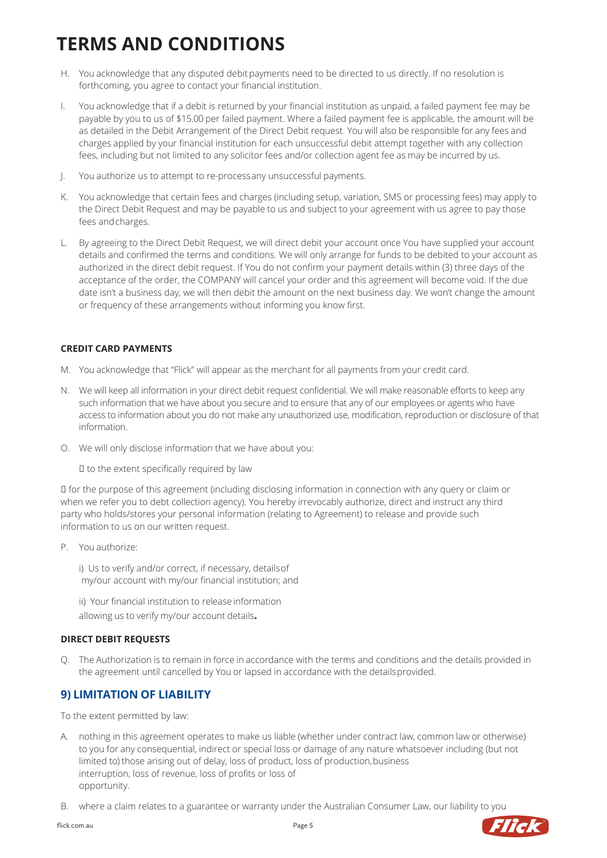- H. You acknowledge that any disputed debit payments need to be directed to us directly. If no resolution is forthcoming, you agree to contact your financial institution.
- I. You acknowledge that if a debit is returned by your financial institution as unpaid, a failed payment fee may be payable by you to us of \$15.00 per failed payment. Where a failed payment fee is applicable, the amount will be as detailed in the Debit Arrangement of the Direct Debit request. You will also be responsible for any fees and charges applied by your financial institution for each unsuccessful debit attempt together with any collection fees, including but not limited to any solicitor fees and/or collection agent fee as may be incurred by us.
- J. You authorize us to attempt to re-processany unsuccessful payments.
- K. You acknowledge that certain fees and charges (including setup, variation, SMS or processing fees) may apply to the Direct Debit Request and may be payable to us and subject to your agreement with us agree to pay those fees andcharges.
- L. By agreeing to the Direct Debit Request, we will direct debit your account once You have supplied your account details and confirmed the terms and conditions. We will only arrange for funds to be debited to your account as authorized in the direct debit request. If You do not confirm your payment details within (3) three days of the acceptance of the order, the COMPANY will cancel your order and this agreement will become void. If the due date isn't a business day, we will then debit the amount on the next business day. We won't change the amount or frequency of these arrangements without informing you know first.

#### **CREDIT CARD PAYMENTS**

- M. You acknowledge that "Flick" will appear as the merchant for all payments from your credit card.
- N. We will keep all information in your direct debit request confidential. We will make reasonable efforts to keep any such information that we have about you secure and to ensure that any of our employees or agents who have access to information about you do not make any unauthorized use, modification, reproduction or disclosure of that information.
- O. We will only disclose information that we have about you:

 $I$  to the extent specifically required by law

 for the purpose of this agreement (including disclosing information in connection with any query or claim or when we refer you to debt collection agency). You hereby irrevocably authorize, direct and instruct any third party who holds/stores your personal information (relating to Agreement) to release and provide such information to us on our written request.

P. You authorize:

i) Us to verify and/or correct, if necessary, detailsof my/our account with my/our financial institution; and

ii) Your financial institution to release information allowing us to verify my/our account details**.**

#### **DIRECT DEBIT REQUESTS**

Q. The Authorization is to remain in force in accordance with the terms and conditions and the details provided in the agreement until cancelled by You or lapsed in accordance with the details provided.

# **9) LIMITATION OF LIABILITY**

To the extent permitted by law:

- A. nothing in this agreement operates to make us liable (whether under contract law, common law or otherwise) to you for any consequential, indirect or special loss or damage of any nature whatsoever including (but not limited to) those arising out of delay, loss of product, loss of production,business interruption, loss of revenue, loss of profits or loss of opportunity.
- B. where a claim relates to a guarantee or warranty under the Australian Consumer Law, our liability to you

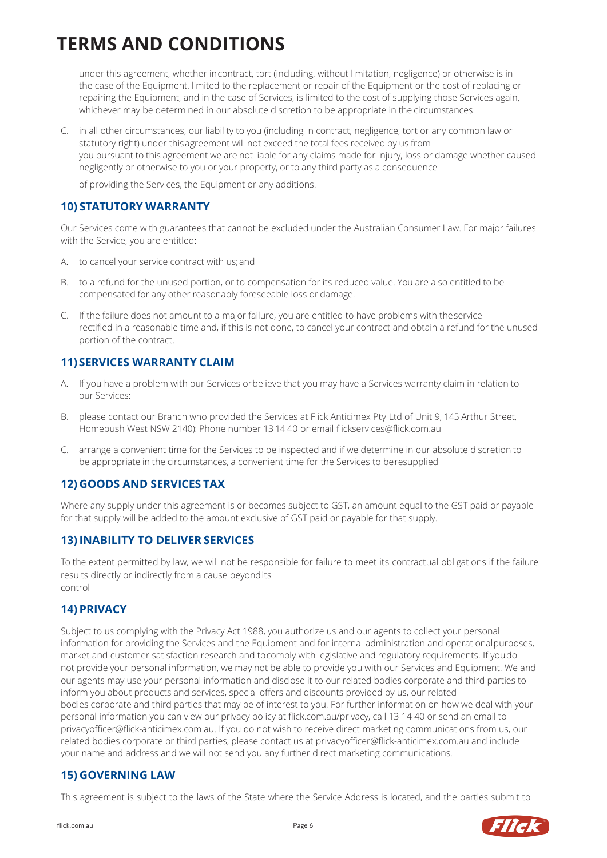under this agreement, whether incontract, tort (including, without limitation, negligence) or otherwise is in the case of the Equipment, limited to the replacement or repair of the Equipment or the cost of replacing or repairing the Equipment, and in the case of Services, is limited to the cost of supplying those Services again, whichever may be determined in our absolute discretion to be appropriate in the circumstances.

C. in all other circumstances, our liability to you (including in contract, negligence, tort or any common law or statutory right) under thisagreement will not exceed the total fees received by us from you pursuant to this agreement we are not liable for any claims made for injury, loss or damage whether caused negligently or otherwise to you or your property, or to any third party as a consequence

of providing the Services, the Equipment or any additions.

# **10) STATUTORY WARRANTY**

Our Services come with guarantees that cannot be excluded under the Australian Consumer Law. For major failures with the Service, you are entitled:

- A. to cancel your service contract with us;and
- B. to a refund for the unused portion, or to compensation for its reduced value. You are also entitled to be compensated for any other reasonably foreseeable loss or damage.
- C. If the failure does not amount to a major failure, you are entitled to have problems with theservice rectified in a reasonable time and, if this is not done, to cancel your contract and obtain a refund for the unused portion of the contract.

# **11)SERVICES WARRANTY CLAIM**

- A. If you have a problem with our Services orbelieve that you may have a Services warranty claim in relation to our Services:
- B. please contact our Branch who provided the Services at Flick Anticimex Pty Ltd of Unit 9, 145 Arthur Street, Homebush West NSW 2140): Phone number 13 14 40 or email flickservices@flick.com.au
- C. arrange a convenient time for the Services to be inspected and if we determine in our absolute discretion to be appropriate in the circumstances, a convenient time for the Services to beresupplied

# **12) GOODS AND SERVICES TAX**

Where any supply under this agreement is or becomes subject to GST, an amount equal to the GST paid or payable for that supply will be added to the amount exclusive of GST paid or payable for that supply.

# **13) INABILITY TO DELIVER SERVICES**

To the extent permitted by law, we will not be responsible for failure to meet its contractual obligations if the failure results directly or indirectly from a cause beyondits control

# **14) PRIVACY**

Subject to us complying with the Privacy Act 1988, you authorize us and our agents to collect your personal information for providing the Services and the Equipment and for internal administration and operationalpurposes, market and customer satisfaction research and tocomply with legislative and regulatory requirements. If youdo not provide your personal information, we may not be able to provide you with our Services and Equipment. We and our agents may use your personal information and disclose it to our related bodies corporate and third parties to inform you about products and services, special offers and discounts provided by us, our related bodies corporate and third parties that may be of interest to you. For further information on how we deal with your personal information you can view our privacy policy at flick.com.au/privacy, call 13 14 40 or send an email t[o](mailto:privacyofficer@flick-anticimex.com.au) [privacyofficer@flick-anticimex.com.au. If](mailto:privacyofficer@flick-anticimex.com.au) you do not wish to receive direct marketing communications from us, our related bodies corporate or third parties, please contact us a[t privacyofficer@flick-anticimex.com.au a](mailto:privacyofficer@flick-anticimex.com.au)nd include your name and address and we will not send you any further direct marketing communications.

#### **15) GOVERNING LAW**

This agreement is subject to the laws of the State where the Service Address is located, and the parties submit to

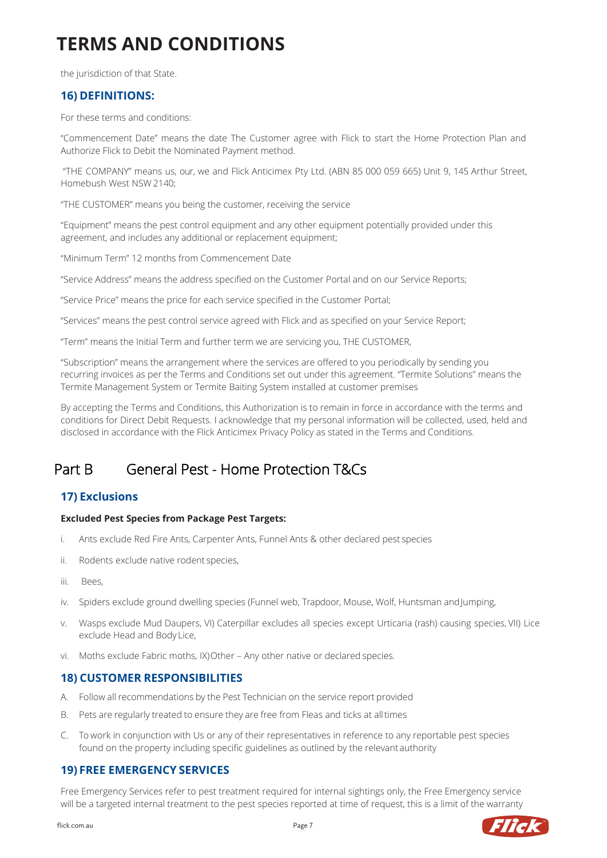the jurisdiction of that State.

### **16) DEFINITIONS:**

For these terms and conditions:

"Commencement Date" means the date The Customer agree with Flick to start the Home Protection Plan and Authorize Flick to Debit the Nominated Payment method.

"THE COMPANY" means us, our, we and Flick Anticimex Pty Ltd. (ABN 85 000 059 665) Unit 9, 145 Arthur Street, Homebush West NSW 2140;

"THE CUSTOMER" means you being the customer, receiving the service

"Equipment" means the pest control equipment and any other equipment potentially provided under this agreement, and includes any additional or replacement equipment;

"Minimum Term" 12 months from Commencement Date

"Service Address" means the address specified on the Customer Portal and on our Service Reports;

"Service Price" means the price for each service specified in the Customer Portal;

"Services" means the pest control service agreed with Flick and as specified on your Service Report;

"Term" means the Initial Term and further term we are servicing you, THE CUSTOMER,

"Subscription" means the arrangement where the services are offered to you periodically by sending you recurring invoices as per the Terms and Conditions set out under this agreement. "Termite Solutions" means the Termite Management System or Termite Baiting System installed at customer premises

By accepting the Terms and Conditions, this Authorization is to remain in force in accordance with the terms and conditions for Direct Debit Requests. I acknowledge that my personal information will be collected, used, held and disclosed in accordance with the Flick Anticimex Privacy Policy as stated in the Terms and Conditions.

# Part B General Pest - Home Protection T&Cs

# **17) Exclusions**

#### **Excluded Pest Species from Package Pest Targets:**

- i. Ants exclude Red Fire Ants, Carpenter Ants, Funnel Ants & other declared pest species
- ii. Rodents exclude native rodent species,
- iii. Bees,
- iv. Spiders exclude ground dwelling species (Funnel web, Trapdoor, Mouse, Wolf, Huntsman andJumping,
- v. Wasps exclude Mud Daupers, VI) Caterpillar excludes all species except Urticaria (rash) causing species, VII) Lice exclude Head and Body Lice,
- vi. Moths exclude Fabric moths, IX)Other Any other native or declared species.

#### **18) CUSTOMER RESPONSIBILITIES**

- A. Follow all recommendations by the Pest Technician on the service report provided
- B. Pets are regularly treated to ensure they are free from Fleas and ticks at alltimes
- C. To work in conjunction with Us or any of their representatives in reference to any reportable pest species found on the property including specific guidelines as outlined by the relevant authority

#### **19) FREE EMERGENCY SERVICES**

Free Emergency Services refer to pest treatment required for internal sightings only, the Free Emergency service will be a targeted internal treatment to the pest species reported at time of request, this is a limit of the warranty

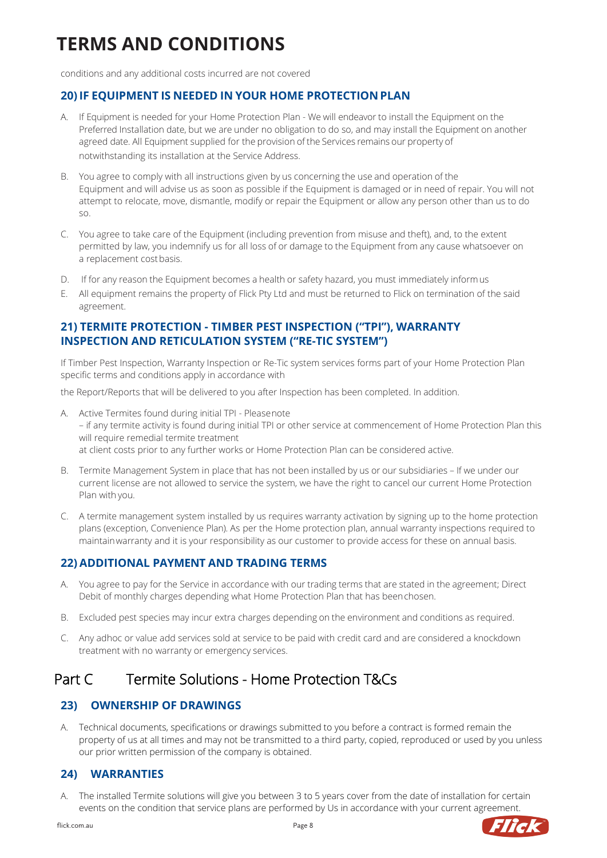conditions and any additional costs incurred are not covered

# **20) IF EQUIPMENT IS NEEDED IN YOUR HOME PROTECTION PLAN**

- A. If Equipment is needed for your Home Protection Plan We will endeavor to install the Equipment on the Preferred Installation date, but we are under no obligation to do so, and may install the Equipment on another agreed date. All Equipment supplied for the provision of the Services remains our property of notwithstanding its installation at the Service Address.
- B. You agree to comply with all instructions given by us concerning the use and operation of the Equipment and will advise us as soon as possible if the Equipment is damaged or in need of repair. You will not attempt to relocate, move, dismantle, modify or repair the Equipment or allow any person other than us to do so.
- C. You agree to take care of the Equipment (including prevention from misuse and theft), and, to the extent permitted by law, you indemnify us for all loss of or damage to the Equipment from any cause whatsoever on a replacement cost basis.
- D. If for any reason the Equipment becomes a health or safety hazard, you must immediately informus
- E. All equipment remains the property of Flick Pty Ltd and must be returned to Flick on termination of the said agreement.

### **21) TERMITE PROTECTION - TIMBER PEST INSPECTION ("TPI"), WARRANTY INSPECTION AND RETICULATION SYSTEM ("RE-TIC SYSTEM")**

If Timber Pest Inspection, Warranty Inspection or Re-Tic system services forms part of your Home Protection Plan specific terms and conditions apply in accordance with

the Report/Reports that will be delivered to you after Inspection has been completed. In addition.

- A. Active Termites found during initial TPI Pleasenote – if any termite activity is found during initial TPI or other service at commencement of Home Protection Plan this will require remedial termite treatment at client costs prior to any further works or Home Protection Plan can be considered active.
- B. Termite Management System in place that has not been installed by us or our subsidiaries If we under our current license are not allowed to service the system, we have the right to cancel our current Home Protection Plan with you.
- C. A termite management system installed by us requires warranty activation by signing up to the home protection plans (exception, Convenience Plan). As per the Home protection plan, annual warranty inspections required to maintainwarranty and it is your responsibility as our customer to provide access for these on annual basis.

# **22) ADDITIONAL PAYMENT AND TRADING TERMS**

- A. You agree to pay for the Service in accordance with our trading terms that are stated in the agreement; Direct Debit of monthly charges depending what Home Protection Plan that has beenchosen.
- B. Excluded pest species may incur extra charges depending on the environment and conditions as required.
- C. Any adhoc or value add services sold at service to be paid with credit card and are considered a knockdown treatment with no warranty or emergency services.

# Part C Termite Solutions - Home Protection T&Cs

# **23) OWNERSHIP OF DRAWINGS**

A. Technical documents, specifications or drawings submitted to you before a contract is formed remain the property of us at all times and may not be transmitted to a third party, copied, reproduced or used by you unless our prior written permission of the company is obtained.

# **24) WARRANTIES**

A. The installed Termite solutions will give you between 3 to 5 years cover from the date of installation for certain events on the condition that service plans are performed by Us in accordance with your current agreement.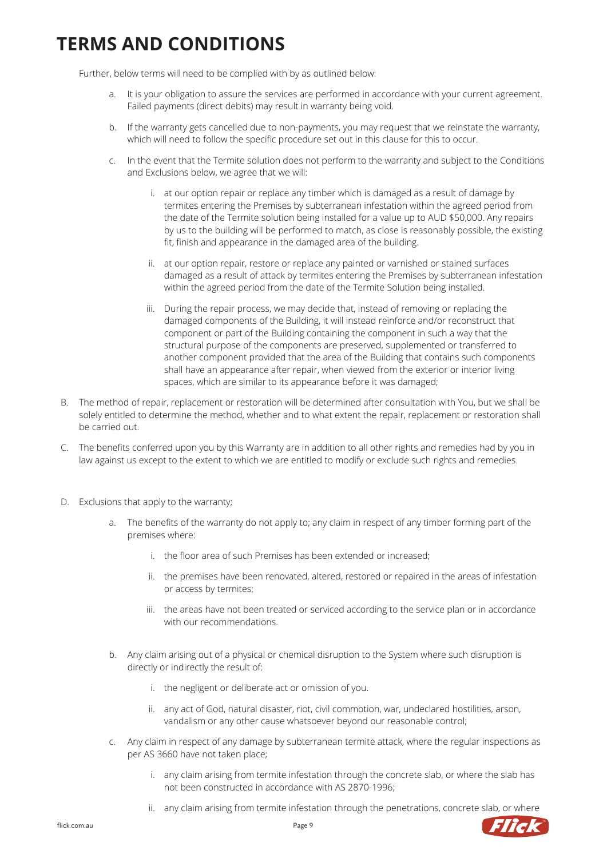Further, below terms will need to be complied with by as outlined below:

- a. It is your obligation to assure the services are performed in accordance with your current agreement. Failed payments (direct debits) may result in warranty being void.
- b. If the warranty gets cancelled due to non-payments, you may request that we reinstate the warranty, which will need to follow the specific procedure set out in this clause for this to occur.
- c. In the event that the Termite solution does not perform to the warranty and subject to the Conditions and Exclusions below, we agree that we will:
	- i. at our option repair or replace any timber which is damaged as a result of damage by termites entering the Premises by subterranean infestation within the agreed period from the date of the Termite solution being installed for a value up to AUD \$50,000. Any repairs by us to the building will be performed to match, as close is reasonably possible, the existing fit, finish and appearance in the damaged area of the building.
	- ii. at our option repair, restore or replace any painted or varnished or stained surfaces damaged as a result of attack by termites entering the Premises by subterranean infestation within the agreed period from the date of the Termite Solution being installed.
	- iii. During the repair process, we may decide that, instead of removing or replacing the damaged components of the Building, it will instead reinforce and/or reconstruct that component or part of the Building containing the component in such a way that the structural purpose of the components are preserved, supplemented or transferred to another component provided that the area of the Building that contains such components shall have an appearance after repair, when viewed from the exterior or interior living spaces, which are similar to its appearance before it was damaged;
- B. The method of repair, replacement or restoration will be determined after consultation with You, but we shall be solely entitled to determine the method, whether and to what extent the repair, replacement or restoration shall be carried out.
- C. The benefits conferred upon you by this Warranty are in addition to all other rights and remedies had by you in law against us except to the extent to which we are entitled to modify or exclude such rights and remedies.
- D. Exclusions that apply to the warranty;
	- a. The benefits of the warranty do not apply to; any claim in respect of any timber forming part of the premises where:
		- i. the floor area of such Premises has been extended or increased;
		- ii. the premises have been renovated, altered, restored or repaired in the areas of infestation or access by termites;
		- iii. the areas have not been treated or serviced according to the service plan or in accordance with our recommendations.
	- b. Any claim arising out of a physical or chemical disruption to the System where such disruption is directly or indirectly the result of:
		- i. the negligent or deliberate act or omission of you.
		- ii. any act of God, natural disaster, riot, civil commotion, war, undeclared hostilities, arson, vandalism or any other cause whatsoever beyond our reasonable control;
	- c. Any claim in respect of any damage by subterranean termite attack, where the regular inspections as per AS 3660 have not taken place;
		- i. any claim arising from termite infestation through the concrete slab, or where the slab has not been constructed in accordance with AS 2870-1996;
		- ii. any claim arising from termite infestation through the penetrations, concrete slab, or where

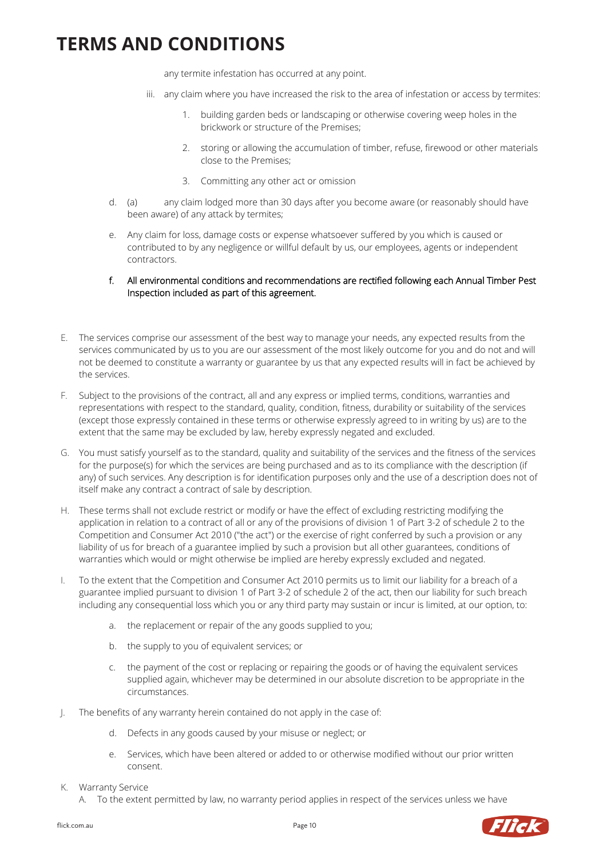any termite infestation has occurred at any point.

- iii. any claim where you have increased the risk to the area of infestation or access by termites:
	- 1. building garden beds or landscaping or otherwise covering weep holes in the brickwork or structure of the Premises;
	- 2. storing or allowing the accumulation of timber, refuse, firewood or other materials close to the Premises;
	- 3. Committing any other act or omission
- d. (a) any claim lodged more than 30 days after you become aware (or reasonably should have been aware) of any attack by termites;
- e. Any claim for loss, damage costs or expense whatsoever suffered by you which is caused or contributed to by any negligence or willful default by us, our employees, agents or independent contractors.
- f. All environmental conditions and recommendations are rectified following each Annual Timber Pest Inspection included as part of this agreement.
- E. The services comprise our assessment of the best way to manage your needs, any expected results from the services communicated by us to you are our assessment of the most likely outcome for you and do not and will not be deemed to constitute a warranty or guarantee by us that any expected results will in fact be achieved by the services.
- F. Subject to the provisions of the contract, all and any express or implied terms, conditions, warranties and representations with respect to the standard, quality, condition, fitness, durability or suitability of the services (except those expressly contained in these terms or otherwise expressly agreed to in writing by us) are to the extent that the same may be excluded by law, hereby expressly negated and excluded.
- G. You must satisfy yourself as to the standard, quality and suitability of the services and the fitness of the services for the purpose(s) for which the services are being purchased and as to its compliance with the description (if any) of such services. Any description is for identification purposes only and the use of a description does not of itself make any contract a contract of sale by description.
- H. These terms shall not exclude restrict or modify or have the effect of excluding restricting modifying the application in relation to a contract of all or any of the provisions of division 1 of Part 3-2 of schedule 2 to the Competition and Consumer Act 2010 ("the act") or the exercise of right conferred by such a provision or any liability of us for breach of a guarantee implied by such a provision but all other guarantees, conditions of warranties which would or might otherwise be implied are hereby expressly excluded and negated.
- I. To the extent that the Competition and Consumer Act 2010 permits us to limit our liability for a breach of a guarantee implied pursuant to division 1 of Part 3-2 of schedule 2 of the act, then our liability for such breach including any consequential loss which you or any third party may sustain or incur is limited, at our option, to:
	- a. the replacement or repair of the any goods supplied to you;
	- b. the supply to you of equivalent services; or
	- c. the payment of the cost or replacing or repairing the goods or of having the equivalent services supplied again, whichever may be determined in our absolute discretion to be appropriate in the circumstances.
- J. The benefits of any warranty herein contained do not apply in the case of:
	- d. Defects in any goods caused by your misuse or neglect; or
	- e. Services, which have been altered or added to or otherwise modified without our prior written consent.
- <span id="page-9-0"></span>K. Warranty Service
	- A. To the extent permitted by law, no warranty period applies in respect of the services unless we have

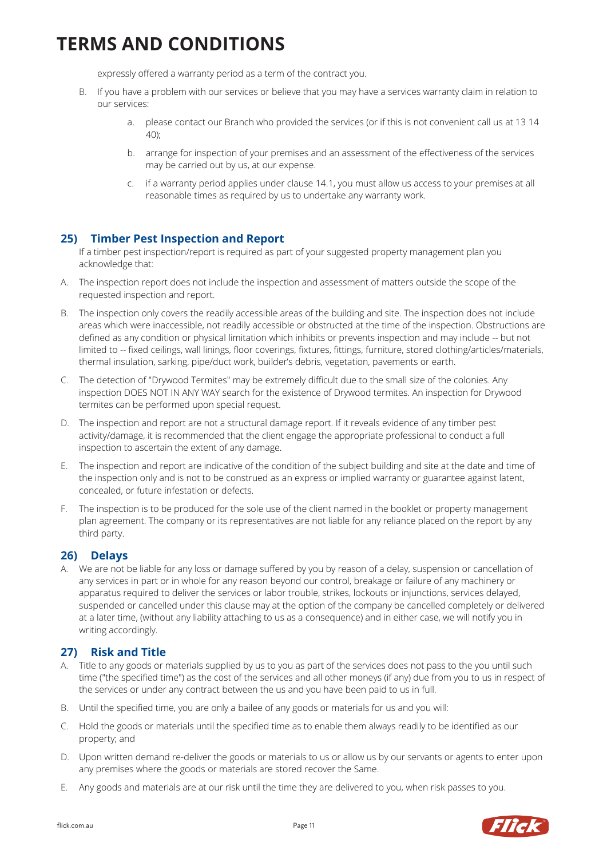expressly offered a warranty period as a term of the contract you.

- B. If you have a problem with our services or believe that you may have a services warranty claim in relation to our services:
	- a. please contact our Branch who provided the services (or if this is not convenient call us at 13 14 40);
	- b. arrange for inspection of your premises and an assessment of the effectiveness of the services may be carried out by us, at our expense.
	- c. if a warranty period applies under claus[e 14.1,](#page-9-0) you must allow us access to your premises at all reasonable times as required by us to undertake any warranty work.

### **25) Timber Pest Inspection and Report**

If a timber pest inspection/report is required as part of your suggested property management plan you acknowledge that:

- A. The inspection report does not include the inspection and assessment of matters outside the scope of the requested inspection and report.
- B. The inspection only covers the readily accessible areas of the building and site. The inspection does not include areas which were inaccessible, not readily accessible or obstructed at the time of the inspection. Obstructions are defined as any condition or physical limitation which inhibits or prevents inspection and may include -- but not limited to -- fixed ceilings, wall linings, floor coverings, fixtures, fittings, furniture, stored clothing/articles/materials, thermal insulation, sarking, pipe/duct work, builder's debris, vegetation, pavements or earth.
- C. The detection of "Drywood Termites" may be extremely difficult due to the small size of the colonies. Any inspection DOES NOT IN ANY WAY search for the existence of Drywood termites. An inspection for Drywood termites can be performed upon special request.
- D. The inspection and report are not a structural damage report. If it reveals evidence of any timber pest activity/damage, it is recommended that the client engage the appropriate professional to conduct a full inspection to ascertain the extent of any damage.
- E. The inspection and report are indicative of the condition of the subject building and site at the date and time of the inspection only and is not to be construed as an express or implied warranty or guarantee against latent, concealed, or future infestation or defects.
- F. The inspection is to be produced for the sole use of the client named in the booklet or property management plan agreement. The company or its representatives are not liable for any reliance placed on the report by any third party.

#### **26) Delays**

A. We are not be liable for any loss or damage suffered by you by reason of a delay, suspension or cancellation of any services in part or in whole for any reason beyond our control, breakage or failure of any machinery or apparatus required to deliver the services or labor trouble, strikes, lockouts or injunctions, services delayed, suspended or cancelled under this clause may at the option of the company be cancelled completely or delivered at a later time, (without any liability attaching to us as a consequence) and in either case, we will notify you in writing accordingly.

#### **27) Risk and Title**

- A. Title to any goods or materials supplied by us to you as part of the services does not pass to the you until such time ("the specified time") as the cost of the services and all other moneys (if any) due from you to us in respect of the services or under any contract between the us and you have been paid to us in full.
- B. Until the specified time, you are only a bailee of any goods or materials for us and you will:
- C. Hold the goods or materials until the specified time as to enable them always readily to be identified as our property; and
- D. Upon written demand re-deliver the goods or materials to us or allow us by our servants or agents to enter upon any premises where the goods or materials are stored recover the Same.
- E. Any goods and materials are at our risk until the time they are delivered to you, when risk passes to you.

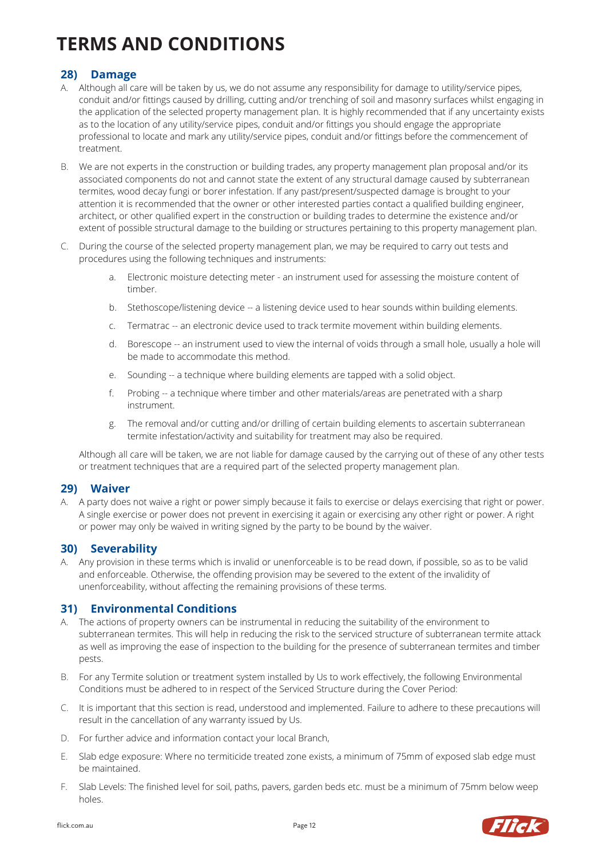### **28) Damage**

- A. Although all care will be taken by us, we do not assume any responsibility for damage to utility/service pipes, conduit and/or fittings caused by drilling, cutting and/or trenching of soil and masonry surfaces whilst engaging in the application of the selected property management plan. It is highly recommended that if any uncertainty exists as to the location of any utility/service pipes, conduit and/or fittings you should engage the appropriate professional to locate and mark any utility/service pipes, conduit and/or fittings before the commencement of treatment.
- B. We are not experts in the construction or building trades, any property management plan proposal and/or its associated components do not and cannot state the extent of any structural damage caused by subterranean termites, wood decay fungi or borer infestation. If any past/present/suspected damage is brought to your attention it is recommended that the owner or other interested parties contact a qualified building engineer, architect, or other qualified expert in the construction or building trades to determine the existence and/or extent of possible structural damage to the building or structures pertaining to this property management plan.
- C. During the course of the selected property management plan, we may be required to carry out tests and procedures using the following techniques and instruments:
	- a. Electronic moisture detecting meter an instrument used for assessing the moisture content of timber.
	- b. Stethoscope/listening device -- a listening device used to hear sounds within building elements.
	- c. Termatrac -- an electronic device used to track termite movement within building elements.
	- d. Borescope -- an instrument used to view the internal of voids through a small hole, usually a hole will be made to accommodate this method.
	- e. Sounding -- a technique where building elements are tapped with a solid object.
	- f. Probing -- a technique where timber and other materials/areas are penetrated with a sharp instrument.
	- g. The removal and/or cutting and/or drilling of certain building elements to ascertain subterranean termite infestation/activity and suitability for treatment may also be required.

Although all care will be taken, we are not liable for damage caused by the carrying out of these of any other tests or treatment techniques that are a required part of the selected property management plan.

#### **29) Waiver**

A. A party does not waive a right or power simply because it fails to exercise or delays exercising that right or power. A single exercise or power does not prevent in exercising it again or exercising any other right or power. A right or power may only be waived in writing signed by the party to be bound by the waiver.

#### **30) Severability**

A. Any provision in these terms which is invalid or unenforceable is to be read down, if possible, so as to be valid and enforceable. Otherwise, the offending provision may be severed to the extent of the invalidity of unenforceability, without affecting the remaining provisions of these terms.

#### **31) Environmental Conditions**

- A. The actions of property owners can be instrumental in reducing the suitability of the environment to subterranean termites. This will help in reducing the risk to the serviced structure of subterranean termite attack as well as improving the ease of inspection to the building for the presence of subterranean termites and timber pests.
- B. For any Termite solution or treatment system installed by Us to work effectively, the following Environmental Conditions must be adhered to in respect of the Serviced Structure during the Cover Period:
- C. It is important that this section is read, understood and implemented. Failure to adhere to these precautions will result in the cancellation of any warranty issued by Us.
- D. For further advice and information contact your local Branch,
- E. Slab edge exposure: Where no termiticide treated zone exists, a minimum of 75mm of exposed slab edge must be maintained.
- F. Slab Levels: The finished level for soil, paths, pavers, garden beds etc. must be a minimum of 75mm below weep holes.